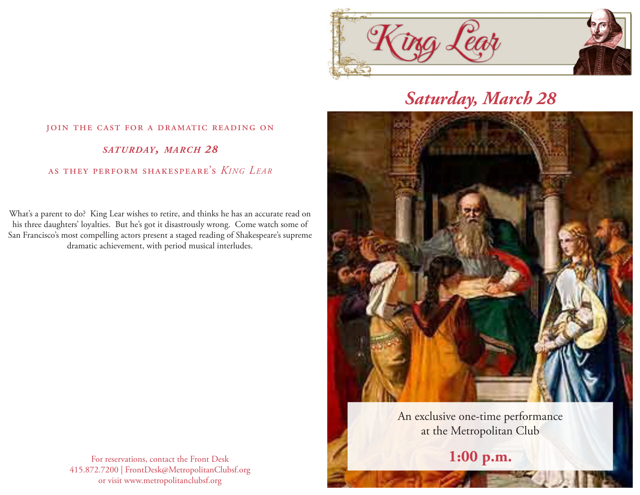

## *Saturday, March 28*



An exclusive one-time performance at the Metropolitan Club

**1:00 p.m.**

## join the cast for a dramatic reading on *saturday, march 28*

as they perform shakespeare's *King Lear*

What's a parent to do? King Lear wishes to retire, and thinks he has an accurate read on his three daughters' loyalties. But he's got it disastrously wrong. Come watch some of San Francisco's most compelling actors present a staged reading of Shakespeare's supreme dramatic achievement, with period musical interludes.

> For reservations, contact the Front Desk 415.872.7200 | FrontDesk@MetropolitanClubsf.org or visit www.metropolitanclubsf.org